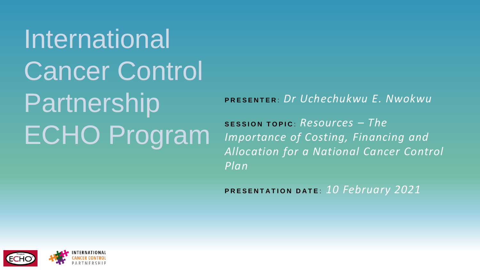International Cancer Control **Partnership** ECHO Program

**P R E S E N T E R** : *Dr Uchechukwu E. Nwokwu*

**S E S S I O N T O P I C** : *Resources – The Importance of Costing, Financing and Allocation for a National Cancer Control Plan*

**PRESENTATION DATE: 10 February 2021** 

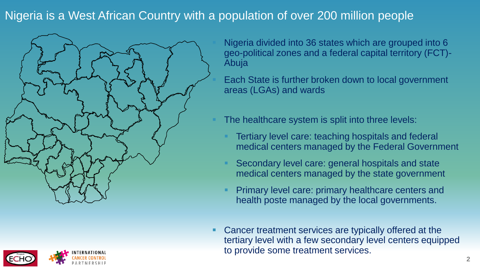## Nigeria is a West African Country with a population of over 200 million people





Nigeria divided into 36 states which are grouped into 6 geo-political zones and a federal capital territory (FCT)- Abuja

Each State is further broken down to local government areas (LGAs) and wards

The healthcare system is split into three levels:

- Tertiary level care: teaching hospitals and federal medical centers managed by the Federal Government
- Secondary level care: general hospitals and state medical centers managed by the state government
- Primary level care: primary healthcare centers and health poste managed by the local governments.
- Cancer treatment services are typically offered at the tertiary level with a few secondary level centers equipped to provide some treatment services.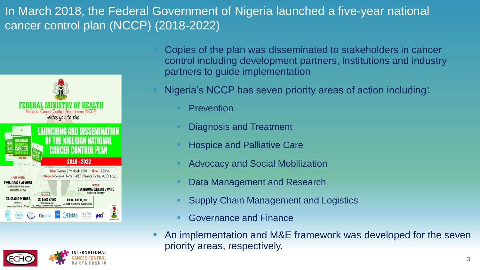# In March 2018, the Federal Government of Nigeria launched a five-year national cancer control plan (NCCP) (2018-2022)





Copies of the plan was disseminated to stakeholders in cancer control including development partners, institutions and industry partners to guide implementation

Nigeria's NCCP has seven priority areas of action including:

- **Prevention**
- **Diagnosis and Treatment**
- **Hospice and Palliative Care**
- **Advocacy and Social Mobilization**
- Data Management and Research
- **Supply Chain Management and Logistics**
- **Governance and Finance**
- An implementation and M&E framework was developed for the seven priority areas, respectively.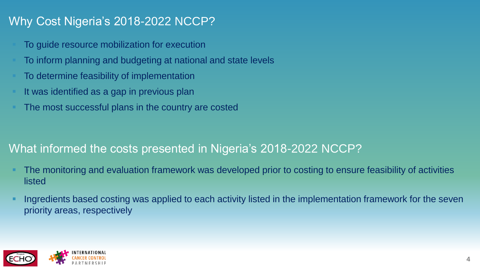# Why Cost Nigeria's 2018-2022 NCCP?

- To guide resource mobilization for execution
- To inform planning and budgeting at national and state levels
- To determine feasibility of implementation
- It was identified as a gap in previous plan
- The most successful plans in the country are costed

# What informed the costs presented in Nigeria's 2018-2022 NCCP?

- The monitoring and evaluation framework was developed prior to costing to ensure feasibility of activities listed
- Ingredients based costing was applied to each activity listed in the implementation framework for the seven priority areas, respectively

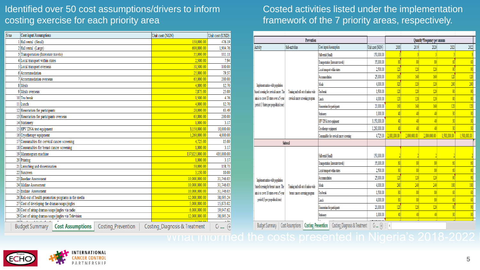### Identified over 50 cost assumptions/drivers to inform costing exercise for each priority area

| S/no | Cost input/Assumptions                                | Unit cost (NGN)<br>Unit cost (USD) |                               |                            |
|------|-------------------------------------------------------|------------------------------------|-------------------------------|----------------------------|
|      | 150,000.00<br>1 Hall rental (Small)                   |                                    |                               |                            |
|      | 2 Hall rental (Large)<br>600,000.00                   |                                    |                               |                            |
|      | 3 Transportation (Interstate travels)                 | 35,000.00                          | 111.11                        |                            |
|      | 4 Local transport within states                       | 2.500.00                           | 7.94                          |                            |
|      | 5 Local transport overseas                            |                                    | 31.500.00                     | 100.00                     |
|      | 6 Accommodation                                       | 25,000.00                          | 79.37                         |                            |
|      | 7 Accommodation overseas                              | 63,000.00                          | 200.00                        |                            |
|      | 8 Meals                                               |                                    | 4.000.00                      | 12.70                      |
|      | 9 Meals overseas                                      |                                    | 7,875.00                      | 25.00                      |
|      | 10 Tea break                                          |                                    | 1.500.00                      | 4.76                       |
|      | 11 Lunch                                              | 4,000.00                           | 12.70                         |                            |
|      | 12 Honorarium for participants                        |                                    | 20,000.00                     | 63.49                      |
|      | 13 Honorarium for participants overseas               | 63.000.00                          | 200.00                        |                            |
|      | 14 Stationery                                         | 1.000.00                           | 3.17                          |                            |
|      | 15 HPV DNA test equipment                             | 3,150,000.00                       | 10,000.00                     |                            |
|      | 16 Cryotherapy equipment                              | 1.260.000.00                       | 4.000.00                      |                            |
|      | 17 Consumables for cervical cancer screening          | 4.725.00                           | 15.00                         |                            |
|      | 18 Consumables for breast cancer screening            | 1.000.00                           | 3.17                          |                            |
|      | 19 Mammogram machine                                  | 137.025.000.00                     | 435,000.00                    |                            |
|      | 20 Printing                                           | 1.000.00                           | 3.17                          |                            |
|      | 21 Launching and dissemination                        | 50,000.00                          | 158.73                        |                            |
|      | 22 Suncreen                                           | 3,150.00                           | 10.00                         |                            |
|      | 23 Baseline Assessment                                | 10.000.000.00                      | 31.746.03                     |                            |
|      | 24 Midline Assessment                                 | 10.000.000.00                      | 31.746.03                     |                            |
|      | 25 Endline Assessment                                 | 10.000.000.00                      | 31,746.03                     |                            |
|      | 26 Roll-out of health promotion programs in the media | 12.000.000.00                      | 38,095.24                     |                            |
|      | 27 Cost of developing the dramas/soaps/jingles        | 5,000,000.00                       | 15,873.02                     |                            |
|      | 28 Cost of airing dramas/soaps/jingles via radio      | 6,000,000.00                       | 19,047.62                     |                            |
|      | 29 Cost of airing dramas/soaps/jingles via Television | 12.000.000.00                      | 38.095.24                     |                            |
|      |                                                       |                                    |                               | $\overline{a}$             |
|      | <b>Budget Summary</b><br><b>Cost Assumptions</b>      | Costing_Prevention                 | Costing_Diagnosis & Treatment | $^{(+)}$<br>C <sub>1</sub> |

#### Costed activities listed under the implementation framework of the 7 priority areas, respectively.

| Prevention                              |                                                                           |                                           |                 |                          | Quantity*Frequency per annum |                         |                |                           |
|-----------------------------------------|---------------------------------------------------------------------------|-------------------------------------------|-----------------|--------------------------|------------------------------|-------------------------|----------------|---------------------------|
| Activity                                | Sub-activities                                                            | Cost input/Assumption                     | Unit cost (NGN) | 2018                     | 2019                         | 2020                    | 2021           | 2022                      |
|                                         |                                                                           | Hall rental (Small)                       | 150,000.00      |                          |                              |                         |                |                           |
|                                         |                                                                           | Transportation (Interstate travels)       | 35,000.00       | $\sqrt[3]{2}$            | 80                           | $\overline{\mathrm{M}}$ | 60             | $60 \,$                   |
|                                         |                                                                           | Local transport within states             | 2,500.00        | 120                      | 120                          | 120                     | $\overline{g}$ | $\overline{\mathfrak{g}}$ |
|                                         |                                                                           | Accommodation                             | 25,000.00       | 160                      | 160                          | 160                     | 120            | 120                       |
| Implement nation-wide population        |                                                                           | Meak                                      | 4,000.00        | $\overline{320}$         | 320                          | 320                     | 240            | 240                       |
| based sceening for cervical cancer. The | Training and roll-out of nation-wide<br>cervical cancer screening program | Tea break                                 | 1,500.00        | 120                      | 120                          | 120                     | 90             | 90                        |
| aim is to cover 18 states over a 5-year |                                                                           | Lunch                                     | 4.000.00        | 120                      | 120                          | 120                     | 90             | $\overline{\mathfrak{g}}$ |
| period (3 States per geopolitical zone) |                                                                           | Honorarium for participants               | 20,000.00       | 160                      | 160                          | 160                     | 120            | 120                       |
|                                         |                                                                           | Stationery                                | 1.000.00        | 40                       | 40                           | 40                      | $\overline{3}$ | 30                        |
|                                         |                                                                           | HPV DNA test equipment                    | 3.150.000.00    | 40                       | 40                           | 40                      | 30             | 30                        |
|                                         |                                                                           | Cryotherapy equipment                     | 1,260,000.00    | $\sqrt{40}$              | 40                           |                         |                | $\overline{30}$           |
|                                         |                                                                           | Consumables for cervical cancer screening | 4,725.00        | 2,000,000.00             | 2,000,000.00                 | 2,000,000.00            | 1,500,000.00   | 1,500,000.00              |
| <b>Subtotal</b>                         |                                                                           |                                           |                 |                          |                              |                         |                |                           |
|                                         |                                                                           | Hall rental (Small)                       | 150,000.00      |                          |                              |                         |                |                           |
|                                         |                                                                           | Transportation (Interstate travels)       | 35,000.00       | $\overline{\mathrm{80}}$ | 80                           | $\overline{\mathrm{N}}$ | 60             | 60                        |
|                                         |                                                                           | Local transport within states             | 2,500.00        | 80                       | 80                           | $\overline{\mathrm{N}}$ | 60             | 60                        |
| Implement nation-wide population        |                                                                           | Accommodation                             | 25,000.00       | 120                      | 120                          | 120                     | 90             | $\overline{\mathfrak{g}}$ |
| based sceening for breast cancer. The   | Training and roll-out of nation-wide                                      | Meals                                     | 4,000.00        | 240                      | 240                          | 240                     | 180            | 180                       |
| aim is to cover 18 states over a 5-year | breast cancer screening program                                           | Tea break                                 | 1,500.00        | $\sqrt{3}$               | 80                           | $\overline{\mathrm{N}}$ | 60             | 60                        |
| period (3 per geopolitical zone)        |                                                                           | Lmch                                      | 4,000.00        | $\overline{\mathrm{80}}$ | 80                           | $\overline{\mathrm{M}}$ | 60             | 60                        |
|                                         |                                                                           | Honorarium for participants               | 20,000.00       | 120                      | 120                          | 120                     | $\overline{9}$ | 90                        |
|                                         |                                                                           | Stationery                                | 1,000.00        | 40                       | 40                           | 40                      | 30             | 30                        |
| <b>Budget Summary</b>                   | Cost Assumptions Costing Prevention                                       | Costing_Diagnosis & Treatment             | $G$ $\oplus$    | ÷τ                       |                              |                         |                |                           |

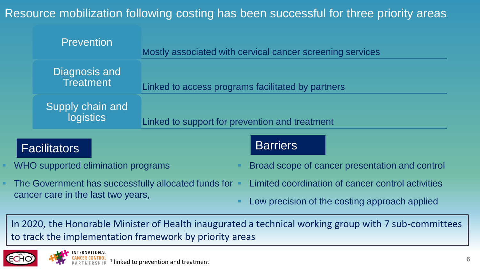Resource mobilization following costing has been successful for three priority areas

| <b>Prevention</b>                 | Mostly associated with cervical cancer screening services |  |
|-----------------------------------|-----------------------------------------------------------|--|
| Diagnosis and<br><b>Treatment</b> | Linked to access programs facilitated by partners         |  |
| Supply chain and<br>logistics     | Linked to support for prevention and treatment            |  |

# **Facilitators Barriers** Barriers

WHO supported elimination programs

- Broad scope of cancer presentation and control
- The Government has successfully allocated funds for cancer care in the last two years,
- Limited coordination of cancer control activities
- Low precision of the costing approach applied

In 2020, the Honorable Minister of Health inaugurated a technical working group with 7 sub-committees to track the implementation framework by priority areas